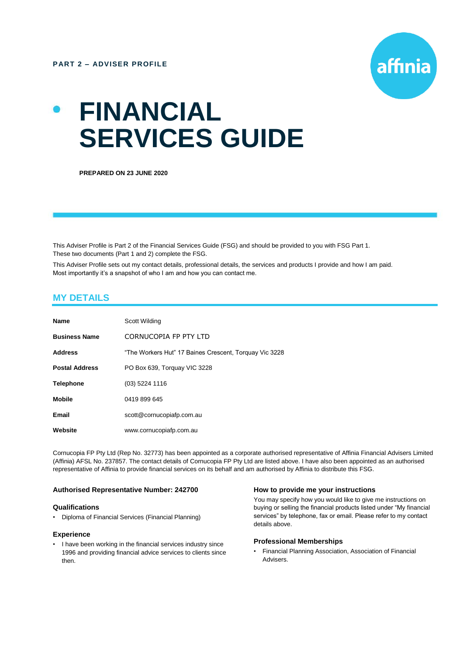

# **FINANCIAL SERVICES GUIDE**

**PREPARED ON 23 JUNE 2020**

This Adviser Profile is Part 2 of the Financial Services Guide (FSG) and should be provided to you with FSG Part 1. These two documents (Part 1 and 2) complete the FSG.

This Adviser Profile sets out my contact details, professional details, the services and products I provide and how I am paid. Most importantly it's a snapshot of who I am and how you can contact me.

# **MY DETAILS**

| Name                  | Scott Wilding                                          |
|-----------------------|--------------------------------------------------------|
| <b>Business Name</b>  | CORNUCOPIA FP PTY LTD                                  |
| <b>Address</b>        | "The Workers Hut" 17 Baines Crescent, Torquay Vic 3228 |
| <b>Postal Address</b> | PO Box 639, Torquay VIC 3228                           |
| <b>Telephone</b>      | (03) 5224 1116                                         |
| <b>Mobile</b>         | 0419 899 645                                           |
| Email                 | scott@cornucopiafp.com.au                              |
| Website               | www.cornucopiafp.com.au                                |

Cornucopia FP Pty Ltd (Rep No. 32773) has been appointed as a corporate authorised representative of Affinia Financial Advisers Limited (Affinia) AFSL No. 237857. The contact details of Cornucopia FP Pty Ltd are listed above. I have also been appointed as an authorised representative of Affinia to provide financial services on its behalf and am authorised by Affinia to distribute this FSG.

## **Authorised Representative Number: 242700**

#### **Qualifications**

• Diploma of Financial Services (Financial Planning)

#### **Experience**

• I have been working in the financial services industry since 1996 and providing financial advice services to clients since then.

#### **How to provide me your instructions**

You may specify how you would like to give me instructions on buying or selling the financial products listed under "My financial services" by telephone, fax or email. Please refer to my contact details above.

### **Professional Memberships**

• Financial Planning Association, Association of Financial Advisers.